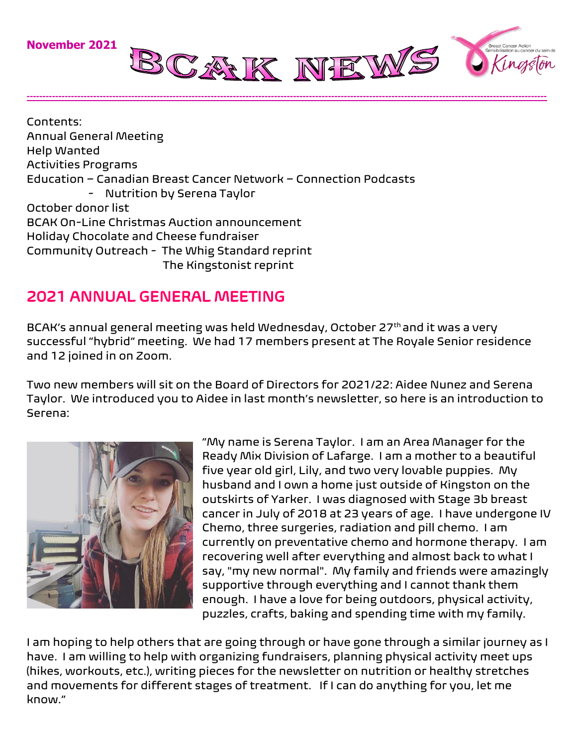

Contents: Annual General Meeting Help Wanted Activities Programs Education – Canadian Breast Cancer Network – Connection Podcasts - Nutrition by Serena Taylor October donor list BCAK On-Line Christmas Auction announcement Holiday Chocolate and Cheese fundraiser Community Outreach - The Whig Standard reprint The Kingstonist reprint

## 2021 ANNUAL GENERAL MEETING

BCAK's annual general meeting was held Wednesday, October 27th and it was a very successful "hybrid" meeting. We had 17 members present at The Royale Senior residence and 12 joined in on Zoom.

**--------------------------------------------------------------------------------------------------------------------------------------------------------------------**

Two new members will sit on the Board of Directors for 2021/22: Aidee Nunez and Serena Taylor. We introduced you to Aidee in last month's newsletter, so here is an introduction to Serena:



"My name is Serena Taylor. I am an Area Manager for the Ready Mix Division of Lafarge. I am a mother to a beautiful five year old girl, Lily, and two very lovable puppies. My husband and I own a home just outside of Kingston on the outskirts of Yarker. I was diagnosed with Stage 3b breast cancer in July of 2018 at 23 years of age. I have undergone IV Chemo, three surgeries, radiation and pill chemo. I am currently on preventative chemo and hormone therapy. I am recovering well after everything and almost back to what I say, "my new normal". My family and friends were amazingly supportive through everything and I cannot thank them enough. I have a love for being outdoors, physical activity, puzzles, crafts, baking and spending time with my family.

I am hoping to help others that are going through or have gone through a similar journey as I have. I am willing to help with organizing fundraisers, planning physical activity meet ups (hikes, workouts, etc.), writing pieces for the newsletter on nutrition or healthy stretches and movements for different stages of treatment. If I can do anything for you, let me know."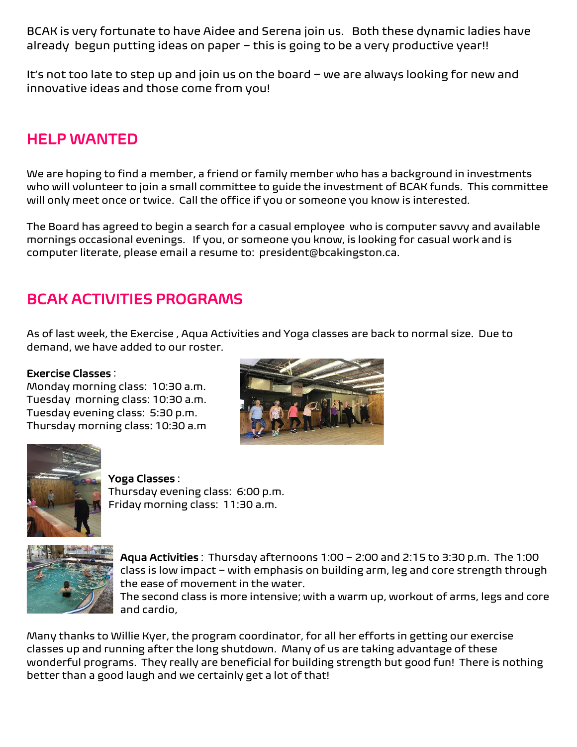BCAK is very fortunate to have Aidee and Serena join us. Both these dynamic ladies have already begun putting ideas on paper – this is going to be a very productive year!!

It's not too late to step up and join us on the board – we are always looking for new and innovative ideas and those come from you!

## HELP WANTED

We are hoping to find a member, a friend or family member who has a background in investments who will volunteer to join a small committee to guide the investment of BCAK funds. This committee will only meet once or twice. Call the office if you or someone you know is interested.

The Board has agreed to begin a search for a casual employee who is computer savvy and available mornings occasional evenings. If you, or someone you know, is looking for casual work and is computer literate, please email a resume to: president@bcakingston.ca.

## BCAK ACTIVITIES PROGRAMS

As of last week, the Exercise , Aqua Activities and Yoga classes are back to normal size. Due to demand, we have added to our roster.

#### Exercise Classes :

Monday morning class: 10:30 a.m. Tuesday morning class: 10:30 a.m. Tuesday evening class: 5:30 p.m. Thursday morning class: 10:30 a.m





#### Yoga Classes :

Thursday evening class: 6:00 p.m. Friday morning class: 11:30 a.m.



Aqua Activities : Thursday afternoons 1:00 – 2:00 and 2:15 to 3:30 p.m. The 1:00 class is low impact – with emphasis on building arm, leg and core strength through the ease of movement in the water.

The second class is more intensive; with a warm up, workout of arms, legs and core and cardio,

Many thanks to Willie Kyer, the program coordinator, for all her efforts in getting our exercise classes up and running after the long shutdown. Many of us are taking advantage of these wonderful programs. They really are beneficial for building strength but good fun! There is nothing better than a good laugh and we certainly get a lot of that!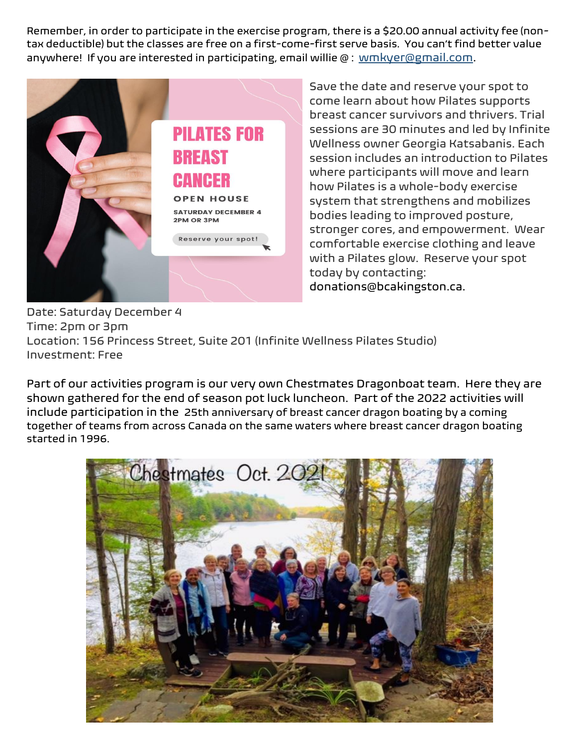Remember, in order to participate in the exercise program, there is a \$20.00 annual activity fee (nontax deductible) but the classes are free on a first-come-first serve basis. You can't find better value anywhere! If you are interested in participating, email willie @ : [wmkyer@gmail.com.](mailto:wmkyer@gmail.com)



Save the date and reserve your spot to come learn about how Pilates supports breast cancer survivors and thrivers. Trial sessions are 30 minutes and led by Infinite Wellness owner Georgia Katsabanis. Each session includes an introduction to Pilates where participants will move and learn how Pilates is a whole-body exercise system that strengthens and mobilizes bodies leading to improved posture, stronger cores, and empowerment. Wear comfortable exercise clothing and leave with a Pilates glow. Reserve your spot today by contacting: donations@bcakingston.ca.

Date: Saturday December 4 Time: 2pm or 3pm Location: 156 Princess Street, Suite 201 (Infinite Wellness Pilates Studio) Investment: Free

Part of our activities program is our very own Chestmates Dragonboat team. Here they are shown gathered for the end of season pot luck luncheon. Part of the 2022 activities will include participation in the 25th anniversary of breast cancer dragon boating by a coming together of teams from across Canada on the same waters where breast cancer dragon boating started in 1996.

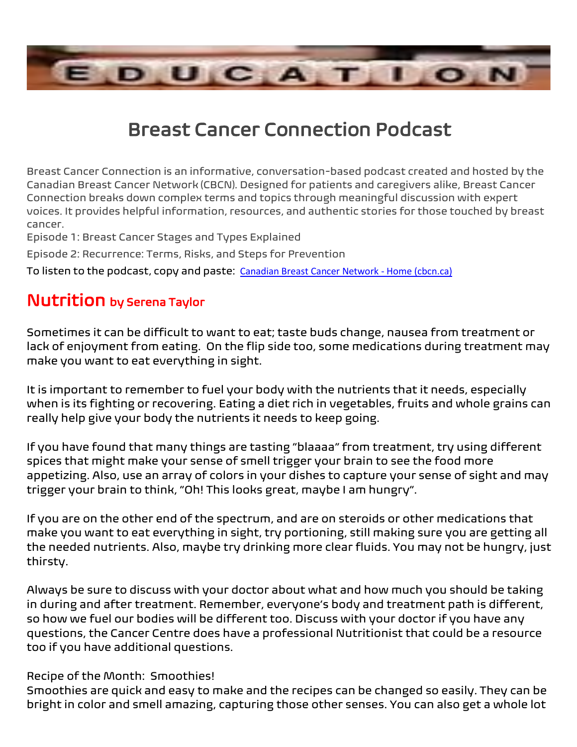

## Breast Cancer Connection Podcast

Breast Cancer Connection is an informative, conversation-based podcast created and hosted by the Canadian Breast Cancer Network (CBCN). Designed for patients and caregivers alike, Breast Cancer Connection breaks down complex terms and topics through meaningful discussion with expert voices. It provides helpful information, resources, and authentic stories for those touched by breast cancer.

Episode 1: Breast Cancer Stages and Types Explained

Episode 2: Recurrence: Terms, Risks, and Steps for Prevention

To listen to the podcast, copy and paste: [Canadian Breast Cancer Network -](https://www.cbcn.ca/en/) Home (cbcn.ca)

## Nutrition by Serena Taylor

Sometimes it can be difficult to want to eat; taste buds change, nausea from treatment or lack of enjoyment from eating. On the flip side too, some medications during treatment may make you want to eat everything in sight.

It is important to remember to fuel your body with the nutrients that it needs, especially when is its fighting or recovering. Eating a diet rich in vegetables, fruits and whole grains can really help give your body the nutrients it needs to keep going.

If you have found that many things are tasting "blaaaa" from treatment, try using different spices that might make your sense of smell trigger your brain to see the food more appetizing. Also, use an array of colors in your dishes to capture your sense of sight and may trigger your brain to think, "Oh! This looks great, maybe I am hungry".

If you are on the other end of the spectrum, and are on steroids or other medications that make you want to eat everything in sight, try portioning, still making sure you are getting all the needed nutrients. Also, maybe try drinking more clear fluids. You may not be hungry, just thirsty.

Always be sure to discuss with your doctor about what and how much you should be taking in during and after treatment. Remember, everyone's body and treatment path is different, so how we fuel our bodies will be different too. Discuss with your doctor if you have any questions, the Cancer Centre does have a professional Nutritionist that could be a resource too if you have additional questions.

#### Recipe of the Month: Smoothies!

Smoothies are quick and easy to make and the recipes can be changed so easily. They can be bright in color and smell amazing, capturing those other senses. You can also get a whole lot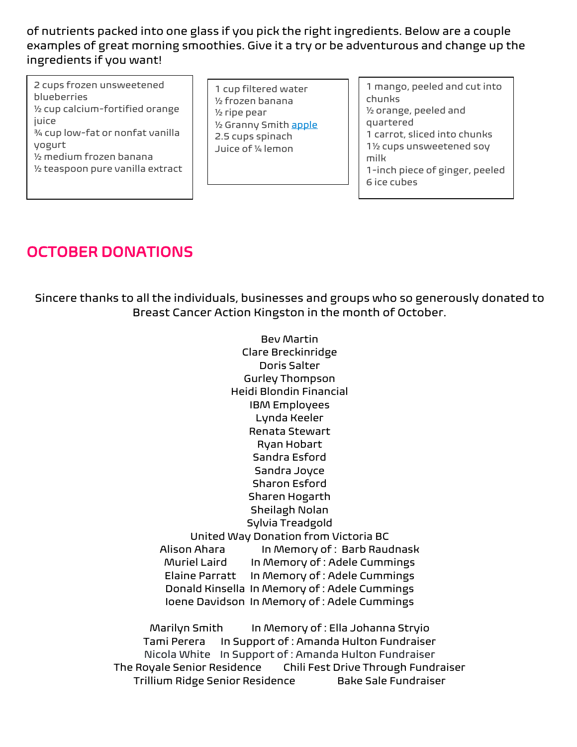of nutrients packed into one glass if you pick the right ingredients. Below are a couple examples of great morning smoothies. Give it a try or be adventurous and change up the ingredients if you want!

- 2 cups frozen unsweetened blueberries ½ cup calcium-fortified orange juice ¾ cup low-fat or nonfat vanilla yogurt ½ medium frozen banana ½ teaspoon pure vanilla extract
- 1 cup filtered water ½ frozen banana ½ ripe pear ½ Granny Smith [apple](https://www.webmd.com/food-recipes/benefits-apples) 2.5 cups spinach Juice of ¼ lemon
- 1 mango, peeled and cut into chunks ½ orange, peeled and quartered 1 carrot, sliced into chunks 1½ cups unsweetened soy milk 1-inch piece of ginger, peeled 6 ice cubes

## OCTOBER DONATIONS

Sincere thanks to all the individuals, businesses and groups who so generously donated to Breast Cancer Action Kingston in the month of October.

> Bev Martin Clare Breckinridge Doris Salter Gurley Thompson Heidi Blondin Financial IBM Employees Lynda Keeler Renata Stewart Ryan Hobart Sandra Esford Sandra Joyce Sharon Esford Sharen Hogarth Sheilagh Nolan Sylvia Treadgold United Way Donation from Victoria BC Alison Ahara In Memory of : Barb Raudnask Muriel Laird In Memory of : Adele Cummings Elaine Parratt In Memory of : Adele Cummings Donald Kinsella In Memory of : Adele Cummings Ioene Davidson In Memory of : Adele Cummings

Marilyn Smith In Memory of : Ella Johanna Stryio Tami Perera In Support of : Amanda Hulton Fundraiser Nicola White In Support of : Amanda Hulton Fundraiser The Royale Senior Residence Chili Fest Drive Through Fundraiser Trillium Ridge Senior Residence Bake Sale Fundraiser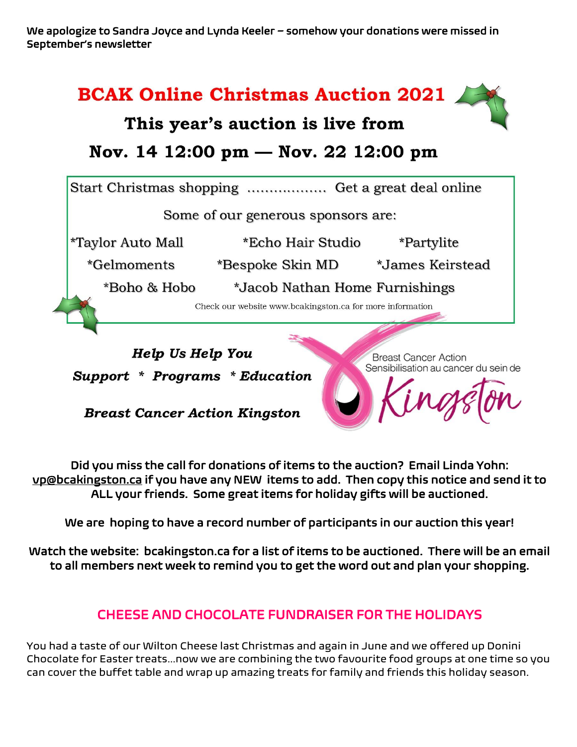We apologize to Sandra Joyce and Lynda Keeler – somehow your donations were missed in September's newsletter



**Breast Cancer Action Kingston** 

Sensibilisation au cancer du sein de

Did you miss the call for donations of items to the auction? Email Linda Yohn: [vp@bcakingston.ca](mailto:vp@bcakingston.ca) if you have any NEW items to add. Then copy this notice and send it to ALL your friends. Some great items for holiday gifts will be auctioned.

We are hoping to have a record number of participants in our auction this year!

Watch the website: bcakingston.ca for a list of items to be auctioned. There will be an email to all members next week to remind you to get the word out and plan your shopping.

#### CHEESE AND CHOCOLATE FUNDRAISER FOR THE HOLIDAYS

You had a taste of our Wilton Cheese last Christmas and again in June and we offered up Donini Chocolate for Easter treats…now we are combining the two favourite food groups at one time so you can cover the buffet table and wrap up amazing treats for family and friends this holiday season.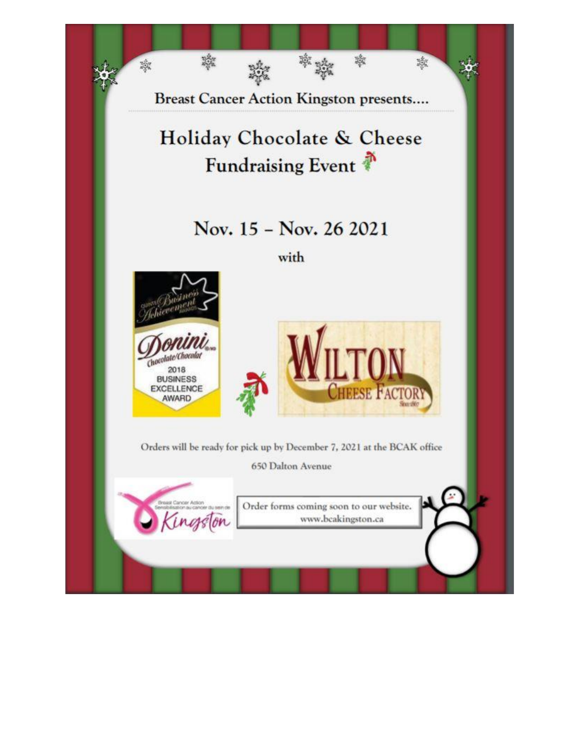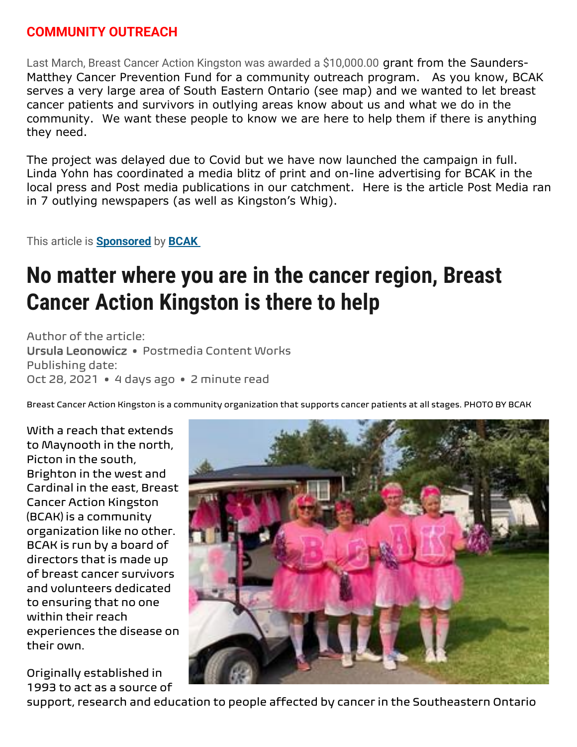#### **COMMUNITY OUTREACH**

Last March, Breast Cancer Action Kingston was awarded a \$10,000.00 grant from the Saunders-Matthey Cancer Prevention Fund for a community outreach program. As you know, BCAK serves a very large area of South Eastern Ontario (see map) and we wanted to let breast cancer patients and survivors in outlying areas know about us and what we do in the community. We want these people to know we are here to help them if there is anything they need.

The project was delayed due to Covid but we have now launched the campaign in full. Linda Yohn has coordinated a media blitz of print and on-line advertising for BCAK in the local press and Post media publications in our catchment. Here is the article Post Media ran in 7 outlying newspapers (as well as Kingston's Whig).

This article is **[Sponsored](https://www.thewhig.com/news-sponsored/no-matter-where-you-are-in-the-cancer-region-breast-cancer-action-kingston-is-there-to-help?fbclid=IwAR0KwD139H0YqsFEdrRx2I9dI4avhpVBdhUVtVY09t7L7cvm04M2Cc3W_lg#sponsored-popup)** by **[BCAK](https://www.bcakingston.ca/)**

# **No matter where you are in the cancer region, Breast Cancer Action Kingston is there to help**

Author of the article: Ursula Leonowicz • Postmedia Content Works Publishing date: Oct 28, 2021 • 4 days ago • 2 minute read

Breast Cancer Action Kingston is a community organization that supports cancer patients at all stages. PHOTO BY BCAK

With a reach that extends to Maynooth in the north, Picton in the south, Brighton in the west and Cardinal in the east, Breast Cancer Action Kingston (BCAK) is a community organization like no other. BCAK is run by a board of directors that is made up of breast cancer survivors and volunteers dedicated to ensuring that no one within their reach experiences the disease on their own.

Originally established in 1993 to act as a source of



support, research and education to people affected by cancer in the Southeastern Ontario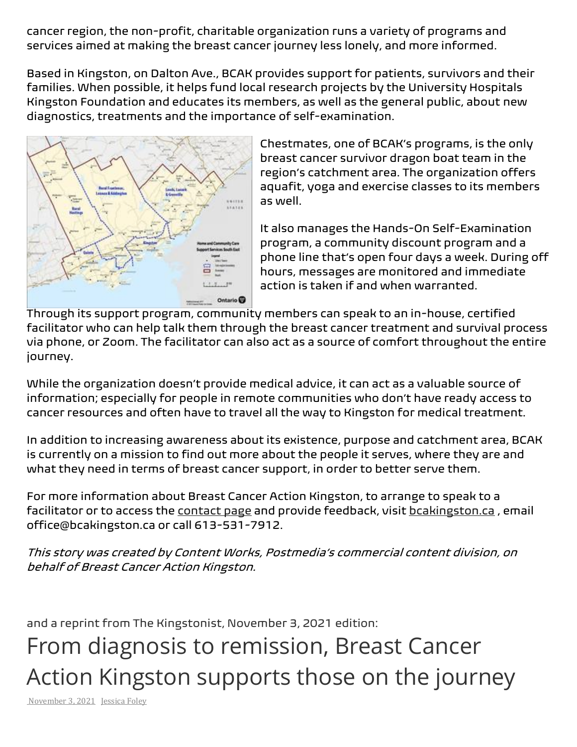cancer region, the non-profit, charitable organization runs a variety of programs and services aimed at making the breast cancer journey less lonely, and more informed.

Based in Kingston, on Dalton Ave., BCAK provides support for patients, survivors and their families. When possible, it helps fund local research projects by the University Hospitals Kingston Foundation and educates its members, as well as the general public, about new diagnostics, treatments and the importance of self-examination.



Chestmates, one of BCAK's programs, is the only breast cancer survivor dragon boat team in the region's catchment area. The organization offers aquafit, yoga and exercise classes to its members as well.

It also manages the Hands-On Self-Examination program, a community discount program and a phone line that's open four days a week. During off hours, messages are monitored and immediate action is taken if and when warranted.

Through its support program, community members can speak to an in-house, certified facilitator who can help talk them through the breast cancer treatment and survival process via phone, or Zoom. The facilitator can also act as a source of comfort throughout the entire journey.

While the organization doesn't provide medical advice, it can act as a valuable source of information; especially for people in remote communities who don't have ready access to cancer resources and often have to travel all the way to Kingston for medical treatment.

In addition to increasing awareness about its existence, purpose and catchment area, BCAK is currently on a mission to find out more about the people it serves, where they are and what they need in terms of breast cancer support, in order to better serve them.

For more information about Breast Cancer Action Kingston, to arrange to speak to a facilitator or to access the [contact page](https://www.bcakingston.ca/contact) and provide feedback, visit [bcakingston.ca](https://www.bcakingston.ca/), email office@bcakingston.ca or call 613-531-7912.

This story was created by Content Works, Postmedia's commercial content division, on behalf of Breast Cancer Action Kingston.

and a reprint from The Kingstonist, November 3, 2021 edition:

From diagnosis to remission, Breast Cancer Action Kingston supports those on the journey

[November](https://www.kingstonist.com/news/breast-cancer-action-kingston-supports-those-on-the-journey/) 3, 2021 [Jessica](https://www.kingstonist.com/author/jessica-foley/) Foley